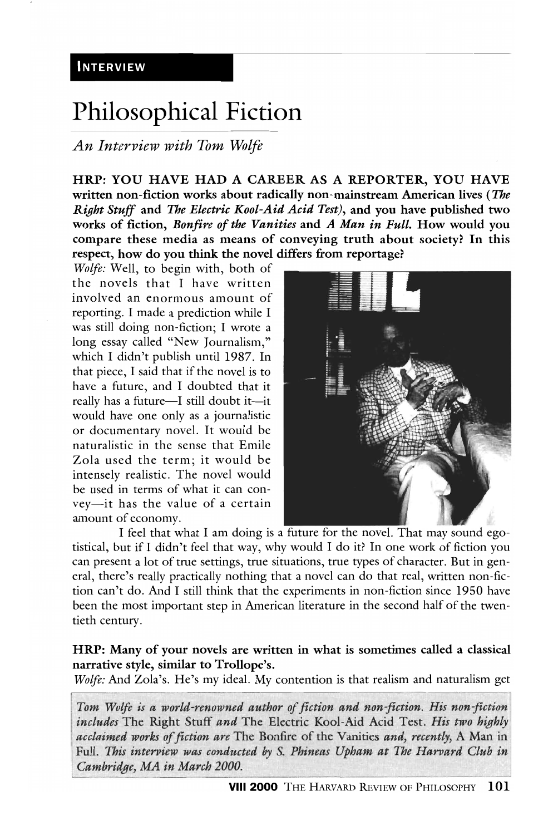# **Philosophical Fiction**

# *An Interview with Tom Wolfe*

HRP: YOU HAVE HAD A CAREER AS A REPORTER, YOU HAVE written non-fiction works about radically non-mainstream American lives *(The Right Stuff* and *The Electric Kool-Aid Acid Test),* and you have published two works of fiction, *Bonfire of the Vanities* and *A Man in Full.* How would you compare these media as means of conveying truth about society? In this respect, how do you think the novel differs from reportage?

*Wolfe:* Well, to begin with, both of the novels that I have written involved an enormous amount of reporting. I made a prediction while I was still doing non-fiction; I wrote a long essay called "New Journalism," which I didn't publish until 1987. In that piece, I said that if the novel is to have a future, and I doubted that it really has a future-I still doubt it-it would have one only as a journalistic or documentary novel. It would be naturalistic in the sense that Emile Zola used the term; it would be intensely realistic. The novel would be used in terms of what it can convey-it has the value of a certain amount of economy.



I feel that what I am doing is a future for the novel. That may sound egotistical, but if I didn't feel that way, why would I do it? In one work of fiction you can present a lot of true settings, true situations, true types of character. But in general, there's really practically nothing that a novel can do that real, written non-fiction can't do. And I still think that the experiments in non-fiction since 1950 have been the most important step in American literature in the second half of the twentieth century.

#### HRP: Many of your novels are written in what is sometimes called a classical narrative style, similar to Trollope's.

*Wolfe:* And Zola's. He's my ideal. My contention is that realism and naturalism get

Tom Wolfe is a world-renowned author of fiction and non-fiction. His non-fiction *includes* The Right Stuff and The Electric Kool-Aid Acid Test. *His two highly acclaimed works of fiction are* The Bonfire of the Vanities *and, recently,* A Man in Full. *This interview was conducted by S. Phineas Upham at The Harvard Club in Cambridge, MA in March 2000.*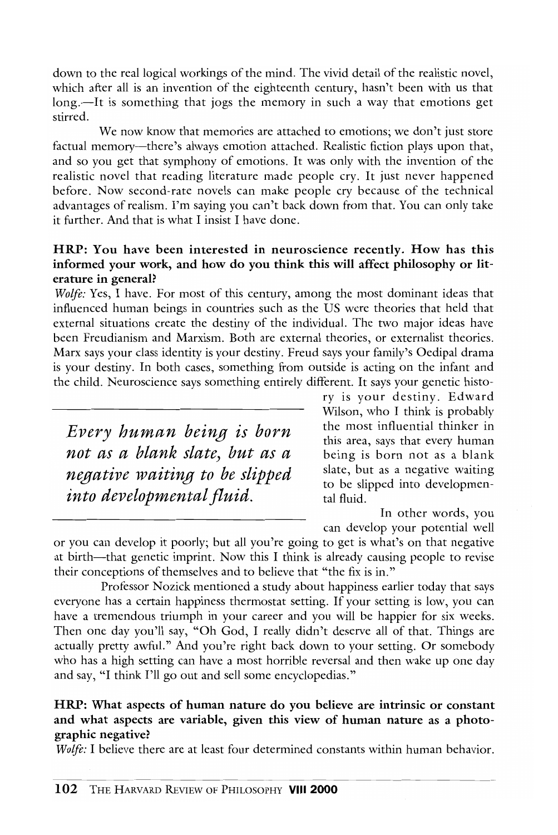down to the real logical workings of the mind. The vivid detail of the realistic novel, which after all is an invention of the eighteenth century, hasn't been with us that long.—It is something that jogs the memory in such a way that emotions get stirred.

We now know that memories are attached to emotions; we don't just store factual memory-there's always emotion attached. Realistic fiction plays upon that, and so you get that symphony of emotions. It was only with the invention of the realistic novel that reading literature made people cry. It just never happened before. Now second-rate novels can make people cry because of the technical advantages of realism. I'm saying you can't back down from that. You can only take it further. And that is what I insist I have done.

# HRP: You have been interested in neuroscience recently. How has this informed your work, and how do you think this will affect philosophy or literature in general?

*Wolfe:* Yes, I have. For most of this century, among the most dominant ideas that influenced human beings in countries such as the US were theories that held that external situations create the destiny of the individual. The two major ideas have been freudianism and Marxism. Both are external theories, or externalist theories. Marx says your class identity is your destiny. Freud says your family's Oedipal drama is your destiny. In both cases, something from outside is acting on the infant and the child. Neuroscience says something entirely different. It says your genetic histo-

*Every human being is born not as a blank slate) but as a negative waiting to be slipped into developmental fluid.* 

ry is your destiny. Edward Wilson, who I think is probably the most influential thinker in this area, says that every human being is born not as a blank slate, but as a negative waiting to be slipped into developmental fluid.

In other words, you can develop your potential well

or you can develop it poorly; but all you're going to get is what's on that negative at birth-that genetic imprint. Now this I think is already causing people to revise their conceptions of themselves and to believe that "the fix is in."

Professor Nozick mentioned a study about happiness earlier today that says everyone has a certain happiness thermostat setting. If your setting is low, you can have a tremendous triumph in your career and you will be happier for six weeks. Then one day you'll say, "Oh God, I really didn't deserve all of that. Things are actually pretty awful." And you're right back down to your setting. Or somebody who has a high setting can have a most horrible reversal and then wake up one day and say, "I think I'll go out and sell some encyclopedias."

#### HRP: What aspects of hwnan nature do you believe are intrinsic or constant and what aspects are variable, given this view of hwnan nature as a photographic negative?

*Wolfe:* I believe there are at least four determined constants within human behavior.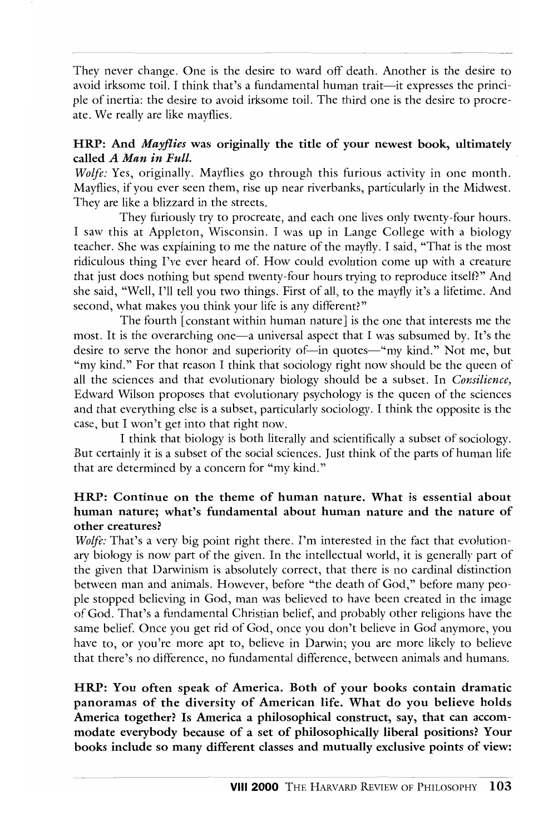They never change. One is the desire to ward off death. Another is the desire to avoid irksome toil. I think that's a fundamental human trait--it expresses the principle of inertia: the desire to avoid irksome toil. The third one is the desire to procreate. We really are like mayflies.

# HRP: And *Mayflies* was originally the title of your newest book, ultimately called *A Man in Full.*

*Wolfe:* Yes, originally. Mayflies go through this furious activity in one month. Mayflies, if you eyer seen them, rise up near riverbanks, particularly in the Midwest. They are like a blizzard in the streets.

They furiously try to procreate, and each one lives only twenty-four hours. I saw this at Appleton, 'Visconsin. I was up in Lange College with a biology teacher. She was explaining to me the nature of the mayfly. I said, "That is the most ridiculous thing I've ever heard of. How could evolution come up with a creature that just does nothing but spend twenty-four hours trying to reproduce itself?" And she said, "Well, I'll tell you two things. First of all, to the mayfly it's a lifetime. And second, what makes you think your life is any different?"

The fourth [constant within human nature] is the one that interests me the most. It is the overarching one-a universal aspect that I was subsumed by. It's the desire to serve the honor and superiority of-in quotes-"my kind." Not me, but "my kind." For that reason I think that sociology right now should be the queen of all the sciences and that evolutionary biology should be a subset. In *Consilience,*  Edward Wilson proposes that evolutionary psychology is the queen of the sciences and that evervthing else is a subset, particularly sociology. I think the opposite is the case, but I won't get into that right now.

I think that biology is both literally and scientifically a subset of sociology. But certainly it is a subset of the social sciences. Just think of the parts of human life that are determined by a concern for "my kind."

#### HRP: Continue on the theme of human nature. What is essential about human nature; what's fundamental about human nature and the nature of other creatures?

*Wolfe:* That's a very big point right there. I'm interested in the fact that evolutionary biology is now part of the given. In the intellectual world, it is generally part of the given that Darwinism is absolutely correct, that there is no cardinal distinction between man and animals. However, before "the death of God," before many people stopped believing in God, man was believed to have been created in the image of God. That's a fundamental Christian belief, and probably other religions have the same belief. Once you get rid of God, once you don't believe in God anymore, you have to, or you're more apt to, believe in Darwin; you are more likely to believe that there's no ditlerence, no fundamental difference, between animals and humans.

HRP: You often speak of America. Both of your books contain dramatic panoramas of the diversity of American life. What do you believe holds America together? Is America a philosophical construct, say, that can accommodate everybody because of a set of philosophically liberal positions? Your books include so many different classes and mutually exclusive points of view: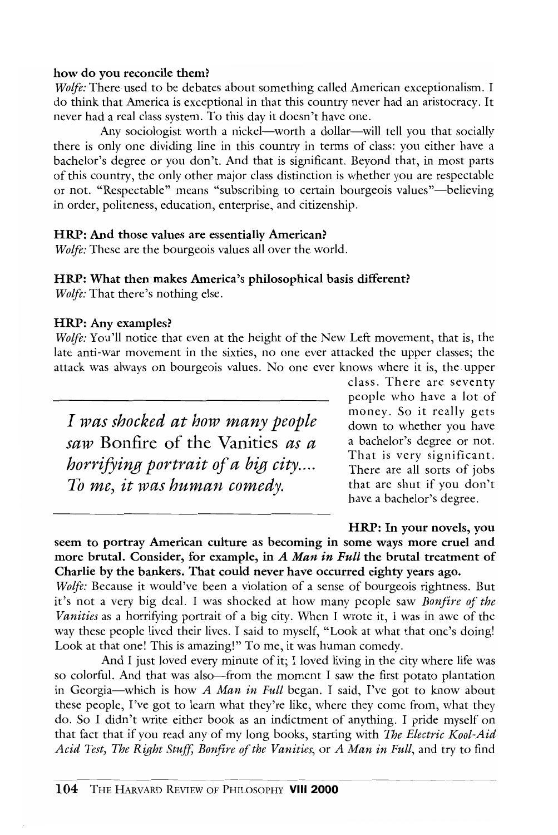#### how do you reconcile them?

*Wolfe:* There used to be debates about something called American exceptionalism. I do think that America is exceptional in that this country never had an aristocracy. It never had a real class system. To this day it doesn't have one.

Any sociologist worth a nickel—worth a dollar—will tell you that socially there is only one dividing line in this country in terms of class: you either have a bachelor's degree or you don't. And that is significant. Beyond that, in most parts of this country, the only other major class distinction is whether you arc respectable or not. "Respectable" means "subscribing to certain bourgeois values"—believing in order, politeness, education, enterprise, and citizenship.

#### HRP: And those values are essentially American?

*Wolfe:* These are the bourgeois values all over the world.

#### HRP: What then makes America's philosophical basis different?

*Wolfe:* That there's nothing else.

#### HRP: Any examples?

*Wolfe:* You'll notice that even at the height of the New Left movement, that is, the late anti-war movement in the sixties, no one ever attacked the upper classes; the attack was always on bourgeois values. No one ever knows where it is, the upper

*I was shocked at how many people saw* Bonfire of the Vanities *as a horrifying portrait of a big city.... To me) it was human comedy.* 

class. There are seventy people who have a lot of money. So it really gets down to whether you have a bachelor's degree or not. That is very significant. There are all sorts of jobs that are shut if you don't have a bachelor's degree.

HRP: In your novels, you seem to portray American culture as becoming in some ways more cruel and more brutal. Consider, for example, in *A Man in Full* the brutal treatment of Charlie by the bankers. That could never have occurred eighty years ago.

*Wolfe:* Because it would've been a violation of a sense of bourgeois rightness. But it's not a very big deal. I was shocked at how many people saw *Bonfire of the Vanities* as a horrifying portrait of a big city. When I wrote it, I was in awe of the way these people lived their lives. I said to myself, "Look at what that one's doing! Look at that one! This is amazing!" To me, it was human comedy.

And I just loyed every minute of it; I loyed living in the city where life was so colorful. And that was also—from the moment I saw the first potato plantation in Georgia-which is how *A Man in Full* began. I said, I've got to know about these people, I've got to learn what they're like, where they come from, what they do. So I didn't write either book as an indictment of anything. I pride myself on that fact that if you read any of my long books, starting with *The Electric Kool-Aid Acid Test, The Right Stuff, Bonfire ofthc Vanities,* or *A Man in Full,* and try to find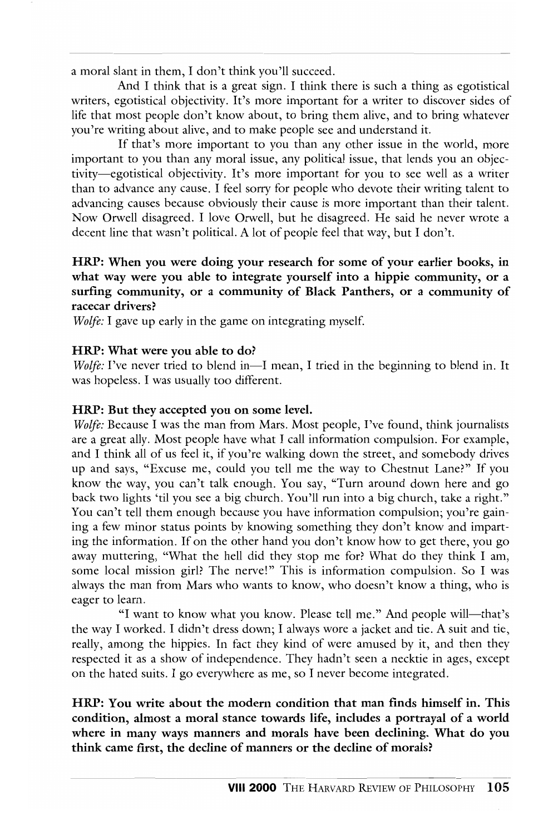a moral slant in them, I don't think you'll succeed.

And I think that is a great sign. I think there is such a thing as egotistical writers, egotistical objectivity. It's more important for a writer to discover sides of life that most people don't know about, to bring them alive, and to bring whatever you're writing about alive, and to make people see and understand it.

If that's more important to you than any other issue in the world, more important to you than any moral issue, any political issue, that lends you an objectivity-egotistical objectivity. It's more important for you to see well as a writer than to advance any cause. I feel sorry for people who devote their writing talent to advancing causes hecause obviously their cause is more important than their talent. Now Orwell disagreed. I love Orwell, but he disagreed. He said he never wrote a decent line that wasn't political. A lot of people feel that way, but I don't.

#### HRP: When you were doing your research for some of your earlier books, in what way were you able to integrate yourself into a hippie community, or a surfing community, or a community of Black Panthers, or a community of racecar drivers?

*Wolfe:* I gave up early in the game on integrating myself.

#### HRP: What were you able to do?

*Wolfe:* I've never tried to blend in-I mean, I tried in the beginning to blend in. It was hopeless. I was usually too different.

#### HRP: But they accepted you on some level.

*Wolfe:* Because I was the man from Mars. Most people, I've found, think journalists are a great ally. Most people have what I call information compulsion. For example, and I think all of us feel it, if you're walking down the street, and somebody drives up and says, "Excuse me, could you tell me the way to Chestnut Lane?" If you know the way, you can't talk enough. You say, "Turn around down here and go hack two lights 'til you see a big church. You'll run into a big church, take a right." You can't tell them enough because you have information compulsion; you're gaining a few minor status points by knowing something they don't know and imparting the information. If on the other hand you don't know how to get there, you go away muttering, "What the hell did they stop me for? What do they think I am, some local mission girl? The nerve!" This is information compulsion. So I was always the man from Mars who wants to know, who doesn't know a thing, who is eager to learn.

"I want to know what you know. Please tell me." And people will—that's the way I worked. I didn't dress down; I always wore a jacket and tie. A suit and tie, really, among the hippies. In fact they kind of were amused by it, and then they respected it as a show of independence. They hadn't seen a necktie in ages, except on the hated suits. I go everywhere as me, so I never become integrated.

HRP: You write about the modem condition that man finds himself in. This condition, almost a moral stance towards life, includes a portrayal of a world where in many ways manners and morals have been declining. What do you think came first, the decline of manners or the decline of morals?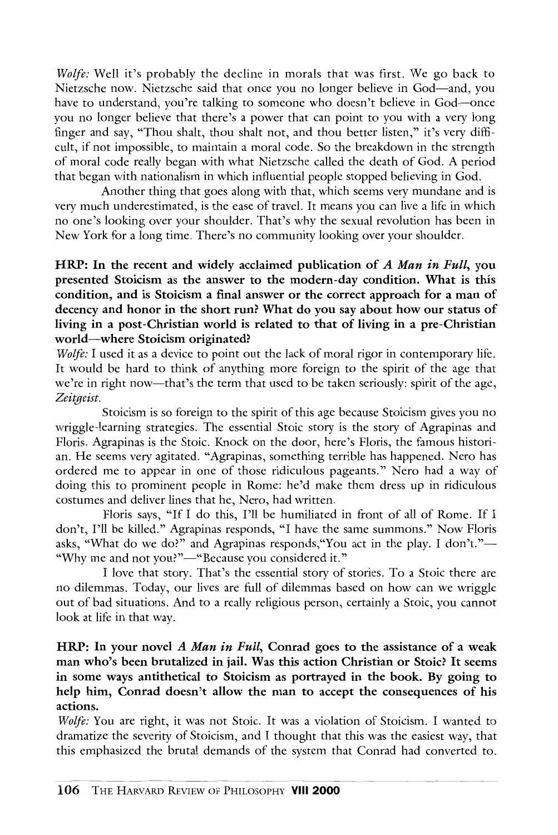*Wolfe:* Well it's probably the decline in morals that was first. We go back to Nietzsche now. Nietzsche said that once you no longer believe in God-and, you have to understand, you're talking to someone who doesn't believe in God—once you no longer believe that there's a power that can point to you with a very long finger and say, "Thou shalt, thou shalt not, and thou better listen," it's very difficult, if not impossible, to maintain a moral code. So the breakdown in the strength of moral code really began with what Nietzsche called the death of God. A period that began with nationalism in which influential people stopped believing in God.

Another thing that goes along with that, which seems very mundane and is very much underestimated, is the ease of travel. It means you can live a life in which no one's looking over your shoulder. That's why the sexual revolution has been in New York for a long time. There's no community looking over your shoulder.

# HRP: In the recent and widely acclaimed publication of A Man in Full, you presented Stoicism as the answer to the modern-day condition. What is this condition, and is Stoicism a final answer or the correct approach for a man of decency and honor in the short run? What do you say about how our status of living in a post-Christian world is related to that of living in a pre-Christian world-where Stoicism originated?

*Wolfe:* I used it as a device to point out the lack of moral rigor in contemporary life. It would be hard to think of anything more foreign to the spirit of the age that we're in right now-that's the term that used to be taken seriously: spirit of the age, *Zeitgeist.* 

Stoicism is so foreign to the spirit of this age because Stoicism gives you no wriggle-learning strategies. The essential Stoic story is the story of Agrapinas and Floris. Agrapinas is the Stoic. Knock on the door, here's Floris, the famous historian. He seems very agitated. "Agrapinas, something terrible has happened. Nero has ordered me to appear in one of those ridiculous pageants." Nero had a way of doing this to prominent people in Rome: he'd make them dress up in ridiculous costumes and deliver lines that he, Nero, had written.

Ploris says, "If I do this, I'll be humiliated in front of all of Rome. If I don't, I'll be killed." Agrapinas responds, "I have the same summons." Now Floris asks, "What do we do?" and Agrapinas responds, "You act in the play. I don't."-"Why me and not you?"-"Because you considered it."

I love that story. That's the essential story of stories. To a Stoic there are no dilemmas. Today, our lives are full of dilemmas based on how can we wriggle out of bad situations. And to a really religious person, certainly a Stoic, you cannot look at life in that way.

# HRP: In your novel A Man in Full, Conrad goes to the assistance of a weak man who's been brutalized in jail. Was this action Christian or Stoic? It seems in some ways antithetical to Stoicism as portrayed in the book. By going to help him, Conrad doesn't allow the man to accept the consequences of his actions.

*Wolfe:* You are right, it was not Stoic. It was a violation of Stoicism. I wanted to dramatize the severity of Stoicism, and I thought that this was the easiest way, that this emphasized the brutal demands of the system that Conrad had converted to. --- \_.- --- \_ ..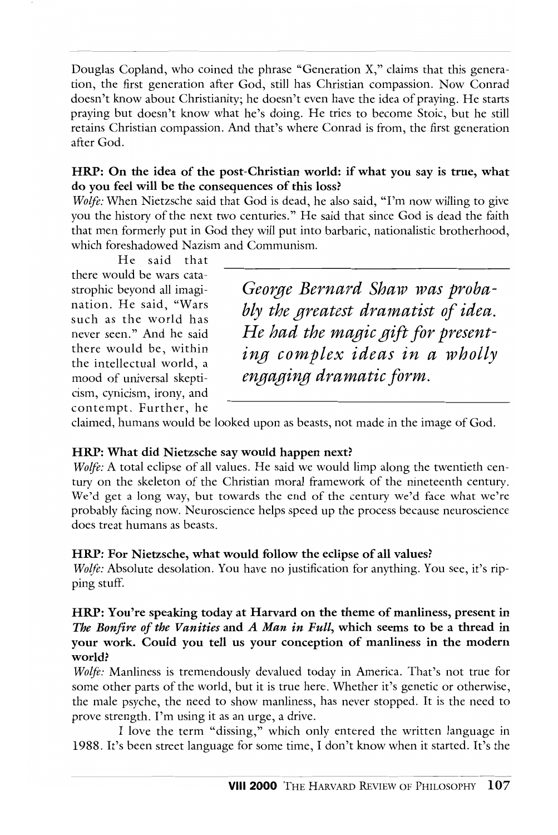Douglas Copland, who coined the phrase "Generation X," claims that this generation, the first generation after God, still has Christian compassion. Now Conrad doesn't know about Christianity; he doesn't even have the idea of praying. He starts praying but doesn't know what he's doing. He tries to become Stoic, but he still retains Christian compassion. And that's where Conrad is trom, the first generation after God.

#### HRP: On the idea of the post-Christian world: if what you say is true, what do you feel will be the consequences of this loss?

*Wolfe:* When Nietzsche said that God is dead, he also said, "I'm now willing to give you the history of the next two centuries." He said that since God is dead the faith that men formerly put in God they will put into barbaric, nationalistic brotherhood, which foreshadowed Nazism and Communism.

He said that there would be wars catastrophic beyond all imagination. He said, "Wars such as the world has never seen." And he said there would be, within the intellectual world, a mood of universal skepticism, cynicism, irony, and contempt. Further, he

*Ge01;ge Bernard Shaw was probably the greatest dramatist of idea. He had the magic gift for presenting complex ideas in a wholly engaging dramatic form.* 

claimed, humans would be looked upon as beasts, not made in the image of God.

# HRP: What did Nietzsche say would happen next?

*Wolfe:* A total eclipse of all values. He said we would limp along the twentieth century on the skeleton of the Christian moral framework of the nineteenth century. We'd get a long way, but towards the end of the century we'd face what we're probably facing now. Neuroscience helps speed up the process because neuroscience docs treat humans as beasts.

#### HRP: For Nietzsche, what would follow the eclipse of all values?

*Wolfe:* Absolute desolation. You have no justification for anything. You see, it's ripping stuff.

# HRP: You're speaking today at Harvard on the theme of manliness, present in *The Bonfire of the Vanities* and *A Man in Full,* which seems to be a thread in your work. Could you tell us your conception of manliness in the modern world?

*Woije:* Manliness is tremendously devalued today in America. That's not true for some other parts of the world, but it is true here. Whether it's genetic or otherwise, the male psyche, the need to show manliness, has never stopped. It is the need to prove strength. I'm using it as an urge, a drive.

I love the term "dissing," which only entered the written language in 1988. It's been street language for some time, I don't know when it started. It's the